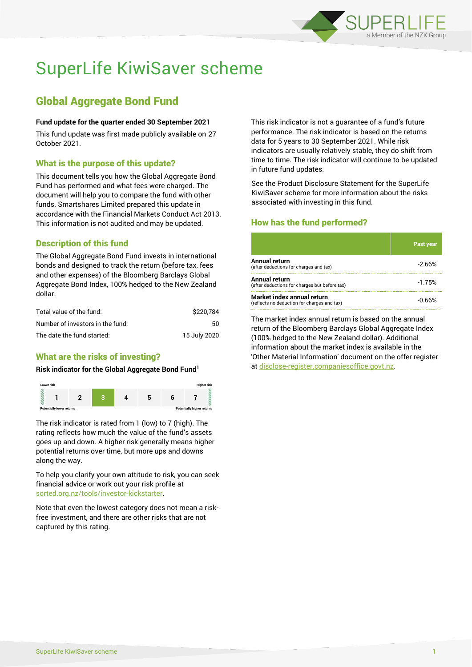

# SuperLife KiwiSaver scheme

# Global Aggregate Bond Fund

#### **Fund update for the quarter ended 30 September 2021**

This fund update was first made publicly available on 27 October 2021.

# What is the purpose of this update?

This document tells you how the Global Aggregate Bond Fund has performed and what fees were charged. The document will help you to compare the fund with other funds. Smartshares Limited prepared this update in accordance with the Financial Markets Conduct Act 2013. This information is not audited and may be updated.

# Description of this fund

The Global Aggregate Bond Fund invests in international bonds and designed to track the return (before tax, fees and other expenses) of the Bloomberg Barclays Global Aggregate Bond Index, 100% hedged to the New Zealand dollar.

| Total value of the fund:         | \$220.784    |
|----------------------------------|--------------|
| Number of investors in the fund: | 50.          |
| The date the fund started:       | 15 July 2020 |

# What are the risks of investing?

#### **Risk indicator for the Global Aggregate Bond Fund<sup>1</sup>**



The risk indicator is rated from 1 (low) to 7 (high). The rating reflects how much the value of the fund's assets goes up and down. A higher risk generally means higher potential returns over time, but more ups and downs along the way.

To help you clarify your own attitude to risk, you can seek financial advice or work out your risk profile at [sorted.org.nz/tools/investor-kickstarter.](http://www.sorted.org.nz/tools/investor-kickstarter)

Note that even the lowest category does not mean a riskfree investment, and there are other risks that are not captured by this rating.

This risk indicator is not a guarantee of a fund's future performance. The risk indicator is based on the returns data for 5 years to 30 September 2021. While risk indicators are usually relatively stable, they do shift from time to time. The risk indicator will continue to be updated in future fund updates.

See the Product Disclosure Statement for the SuperLife KiwiSaver scheme for more information about the risks associated with investing in this fund.

# How has the fund performed?

|                                                                           | Past year |
|---------------------------------------------------------------------------|-----------|
| <b>Annual return</b><br>(after deductions for charges and tax)            | $-2.66%$  |
| Annual return<br>(after deductions for charges but before tax)            | $-1.75%$  |
| Market index annual return<br>(reflects no deduction for charges and tax) | -0.66%    |

The market index annual return is based on the annual return of the Bloomberg Barclays Global Aggregate Index (100% hedged to the New Zealand dollar). Additional information about the market index is available in the 'Other Material Information' document on the offer register at [disclose-register.companiesoffice.govt.nz.](http://www.disclose-register.companiesoffice.govt.nz/)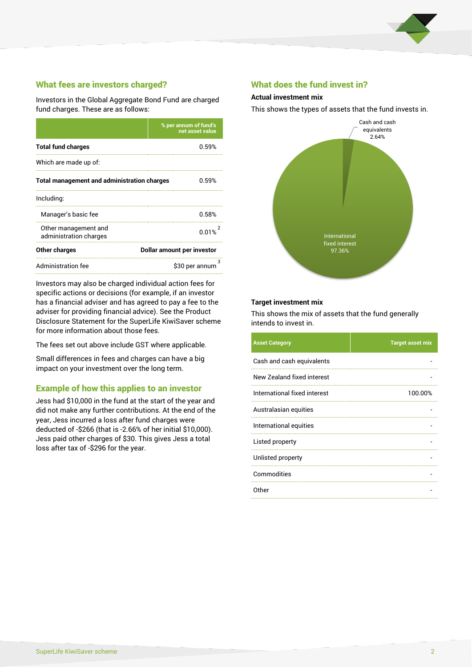

# What fees are investors charged?

Investors in the Global Aggregate Bond Fund are charged fund charges. These are as follows:

|                                                    | % per annum of fund's<br>net asset value |  |
|----------------------------------------------------|------------------------------------------|--|
| <b>Total fund charges</b>                          | 0.59%                                    |  |
| Which are made up of:                              |                                          |  |
| <b>Total management and administration charges</b> | 0.59%                                    |  |
| Including:                                         |                                          |  |
| Manager's basic fee                                | 0.58%                                    |  |
| Other management and<br>administration charges     | 0.01%                                    |  |
| Other charges                                      | Dollar amount per investor               |  |
| Administration fee                                 | з<br>\$30 per annum                      |  |

Investors may also be charged individual action fees for specific actions or decisions (for example, if an investor has a financial adviser and has agreed to pay a fee to the adviser for providing financial advice). See the Product Disclosure Statement for the SuperLife KiwiSaver scheme for more information about those fees.

The fees set out above include GST where applicable.

Small differences in fees and charges can have a big impact on your investment over the long term.

## Example of how this applies to an investor

Jess had \$10,000 in the fund at the start of the year and did not make any further contributions. At the end of the year, Jess incurred a loss after fund charges were deducted of -\$266 (that is -2.66% of her initial \$10,000). Jess paid other charges of \$30. This gives Jess a total loss after tax of -\$296 for the year.

### What does the fund invest in?

#### **Actual investment mix**

This shows the types of assets that the fund invests in.



#### **Target investment mix**

This shows the mix of assets that the fund generally intends to invest in.

| <b>Asset Category</b>        | <b>Target asset mix</b> |
|------------------------------|-------------------------|
| Cash and cash equivalents    |                         |
| New Zealand fixed interest   |                         |
| International fixed interest | 100.00%                 |
| Australasian equities        |                         |
| International equities       |                         |
| Listed property              |                         |
| Unlisted property            |                         |
| Commodities                  |                         |
| Other                        |                         |